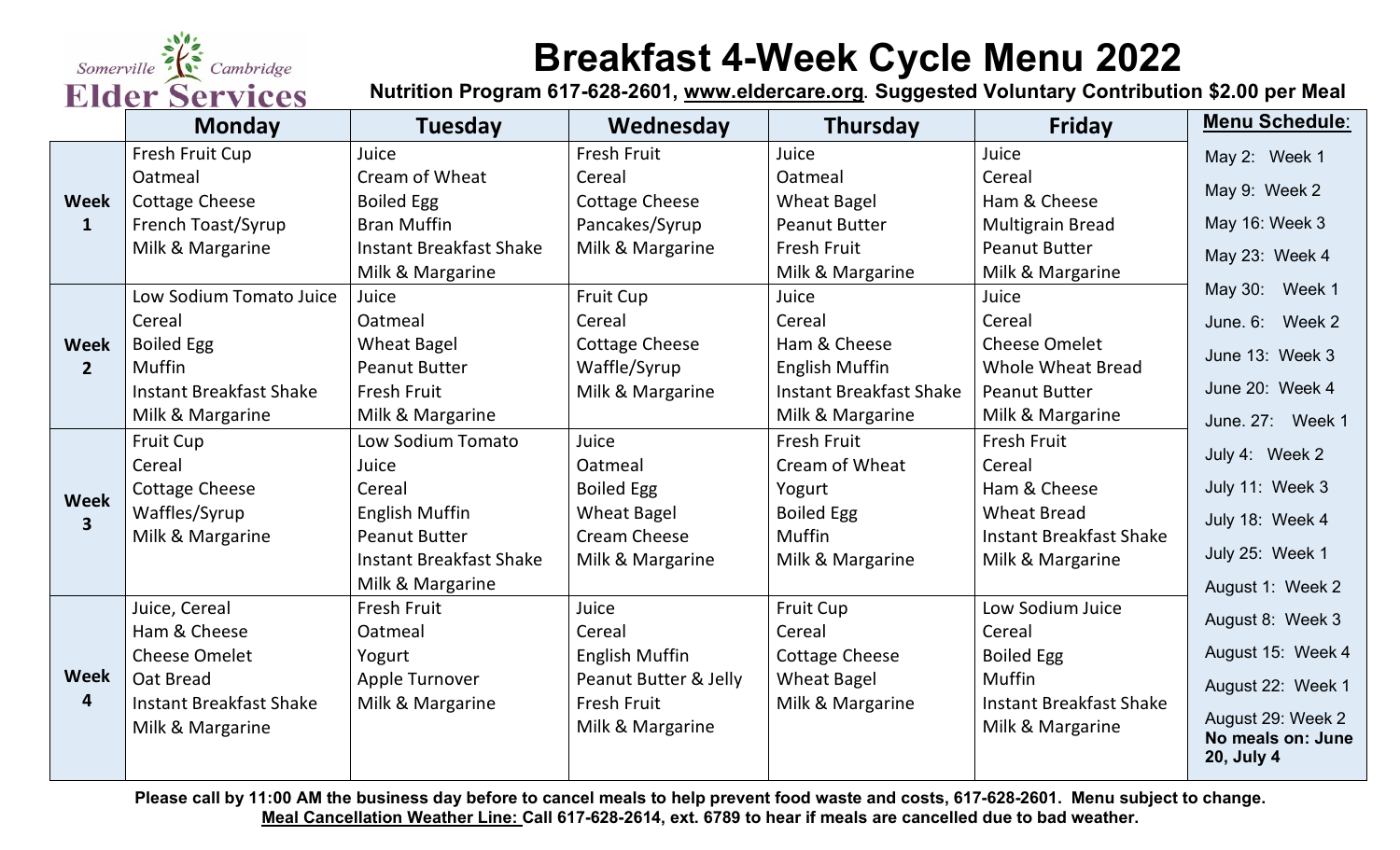Somerville ? Cambridge **Elder Services** 

## **Breakfast 4-Week Cycle Menu 2022**

**Nutrition Program 617-628-2601, [www.eldercare.org](http://www.eldercare.org/). Suggested Voluntary Contribution \$2.00 per Meal**

|                                 | <b>Monday</b>                  | <b>Tuesday</b>                 | Wednesday             | Thursday                       | <b>Friday</b>                  | Menu Schedule:    |
|---------------------------------|--------------------------------|--------------------------------|-----------------------|--------------------------------|--------------------------------|-------------------|
| Week<br>$\mathbf{1}$            | Fresh Fruit Cup                | Juice                          | Fresh Fruit           | Juice                          | Juice                          | May 2: Week 1     |
|                                 | Oatmeal                        | Cream of Wheat                 | Cereal                | Oatmeal                        | Cereal                         | May 9: Week 2     |
|                                 | <b>Cottage Cheese</b>          | <b>Boiled Egg</b>              | <b>Cottage Cheese</b> | <b>Wheat Bagel</b>             | Ham & Cheese                   |                   |
|                                 | French Toast/Syrup             | <b>Bran Muffin</b>             | Pancakes/Syrup        | <b>Peanut Butter</b>           | <b>Multigrain Bread</b>        | May 16: Week 3    |
|                                 | Milk & Margarine               | <b>Instant Breakfast Shake</b> | Milk & Margarine      | Fresh Fruit                    | <b>Peanut Butter</b>           | May 23: Week 4    |
|                                 |                                | Milk & Margarine               |                       | Milk & Margarine               | Milk & Margarine               |                   |
| Week<br>$2^{\circ}$             | Low Sodium Tomato Juice        | Juice                          | <b>Fruit Cup</b>      | Juice                          | Juice                          | May 30: Week 1    |
|                                 | Cereal                         | Oatmeal                        | Cereal                | Cereal                         | Cereal                         | June. 6: Week 2   |
|                                 | <b>Boiled Egg</b>              | <b>Wheat Bagel</b>             | <b>Cottage Cheese</b> | Ham & Cheese                   | <b>Cheese Omelet</b>           | June 13: Week 3   |
|                                 | <b>Muffin</b>                  | <b>Peanut Butter</b>           | Waffle/Syrup          | <b>English Muffin</b>          | <b>Whole Wheat Bread</b>       |                   |
|                                 | <b>Instant Breakfast Shake</b> | Fresh Fruit                    | Milk & Margarine      | <b>Instant Breakfast Shake</b> | <b>Peanut Butter</b>           | June 20: Week 4   |
|                                 | Milk & Margarine               | Milk & Margarine               |                       | Milk & Margarine               | Milk & Margarine               | June. 27: Week 1  |
| Week<br>$\overline{\mathbf{3}}$ | <b>Fruit Cup</b>               | Low Sodium Tomato              | Juice                 | Fresh Fruit                    | <b>Fresh Fruit</b>             | July 4: Week 2    |
|                                 | Cereal                         | Juice                          | Oatmeal               | Cream of Wheat                 | Cereal                         |                   |
|                                 | <b>Cottage Cheese</b>          | Cereal                         | <b>Boiled Egg</b>     | Yogurt                         | Ham & Cheese                   | July 11: Week 3   |
|                                 | Waffles/Syrup                  | <b>English Muffin</b>          | <b>Wheat Bagel</b>    | <b>Boiled Egg</b>              | <b>Wheat Bread</b>             | July 18: Week 4   |
|                                 | Milk & Margarine               | <b>Peanut Butter</b>           | <b>Cream Cheese</b>   | Muffin                         | <b>Instant Breakfast Shake</b> |                   |
|                                 |                                | <b>Instant Breakfast Shake</b> | Milk & Margarine      | Milk & Margarine               | Milk & Margarine               | July 25: Week 1   |
|                                 |                                | Milk & Margarine               |                       |                                |                                | August 1: Week 2  |
| Week<br>4                       | Juice, Cereal                  | Fresh Fruit                    | Juice                 | <b>Fruit Cup</b>               | Low Sodium Juice               | August 8: Week 3  |
|                                 | Ham & Cheese                   | Oatmeal                        | Cereal                | Cereal                         | Cereal                         |                   |
|                                 | <b>Cheese Omelet</b>           | Yogurt                         | <b>English Muffin</b> | <b>Cottage Cheese</b>          | <b>Boiled Egg</b>              | August 15: Week 4 |
|                                 | Oat Bread                      | Apple Turnover                 | Peanut Butter & Jelly | <b>Wheat Bagel</b>             | <b>Muffin</b>                  | August 22: Week 1 |
|                                 | <b>Instant Breakfast Shake</b> | Milk & Margarine               | Fresh Fruit           | Milk & Margarine               | <b>Instant Breakfast Shake</b> | August 29: Week 2 |
|                                 | Milk & Margarine               |                                | Milk & Margarine      |                                | Milk & Margarine               | No meals on: June |
|                                 |                                |                                |                       |                                |                                | 20, July 4        |

**Please call by 11:00 AM the business day before to cancel meals to help prevent food waste and costs, 617-628-2601. Menu subject to change. Meal Cancellation Weather Line: Call 617-628-2614, ext. 6789 to hear if meals are cancelled due to bad weather.**